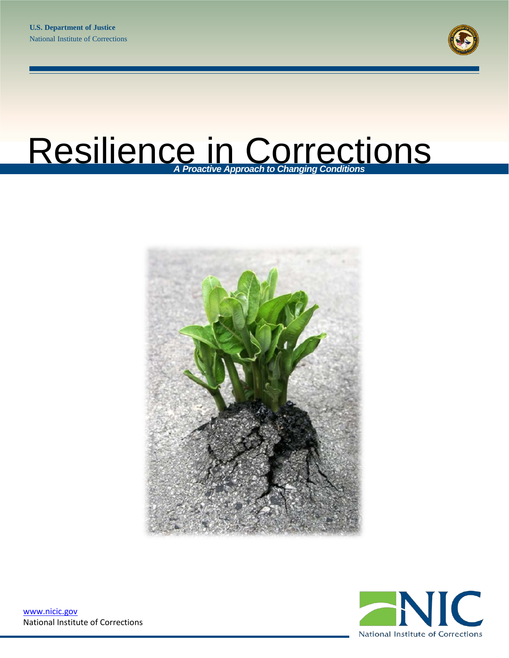

# Resilience in Corrections *A Proactive Approach to Changing Conditions*





[www.nicic.gov](http://www.nicic.gov/) National Institute of Corrections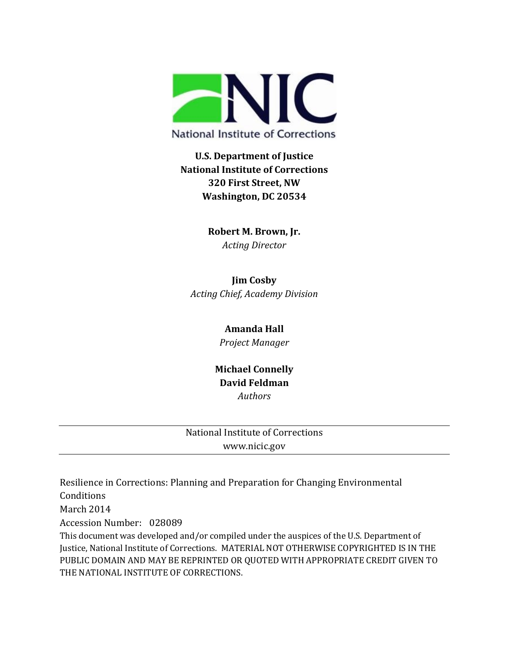

# **U.S. Department of Justice National Institute of Corrections 320 First Street, NW Washington, DC 20534**

**Robert M. Brown, Jr.** *Acting Director*

**Jim Cosby** *Acting Chief, Academy Division*

#### **Amanda Hall**

*Project Manager*

## **Michael Connelly David Feldman** *Authors*

### National Institute of Corrections www.nicic.gov

Resilience in Corrections: Planning and Preparation for Changing Environmental Conditions March 2014

Accession Number: 028089

This document was developed and/or compiled under the auspices of the U.S. Department of Justice, National Institute of Corrections. MATERIAL NOT OTHERWISE COPYRIGHTED IS IN THE PUBLIC DOMAIN AND MAY BE REPRINTED OR QUOTED WITH APPROPRIATE CREDIT GIVEN TO THE NATIONAL INSTITUTE OF CORRECTIONS.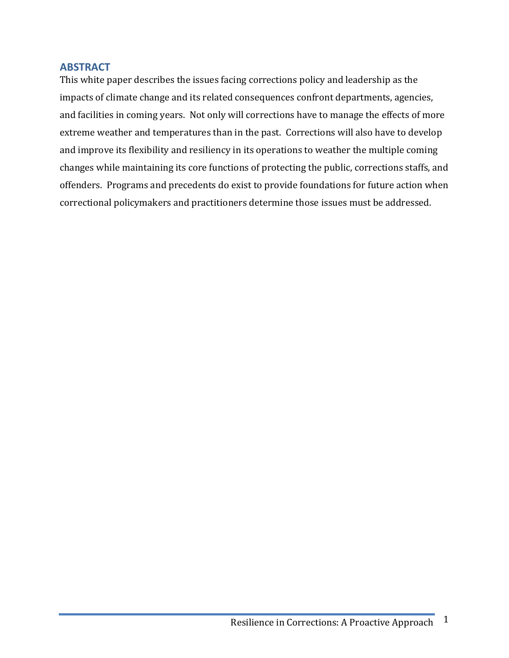#### <span id="page-2-0"></span>**ABSTRACT**

This white paper describes the issues facing corrections policy and leadership as the impacts of climate change and its related consequences confront departments, agencies, and facilities in coming years. Not only will corrections have to manage the effects of more extreme weather and temperatures than in the past. Corrections will also have to develop and improve its flexibility and resiliency in its operations to weather the multiple coming changes while maintaining its core functions of protecting the public, corrections staffs, and offenders. Programs and precedents do exist to provide foundations for future action when correctional policymakers and practitioners determine those issues must be addressed.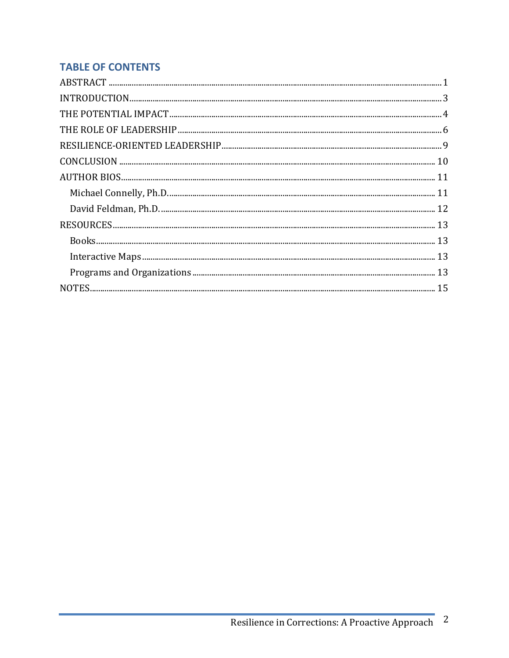# **TABLE OF CONTENTS**

| $\bf INTRODUCTION. 3$ |  |
|-----------------------|--|
|                       |  |
|                       |  |
|                       |  |
|                       |  |
|                       |  |
|                       |  |
|                       |  |
|                       |  |
|                       |  |
|                       |  |
|                       |  |
|                       |  |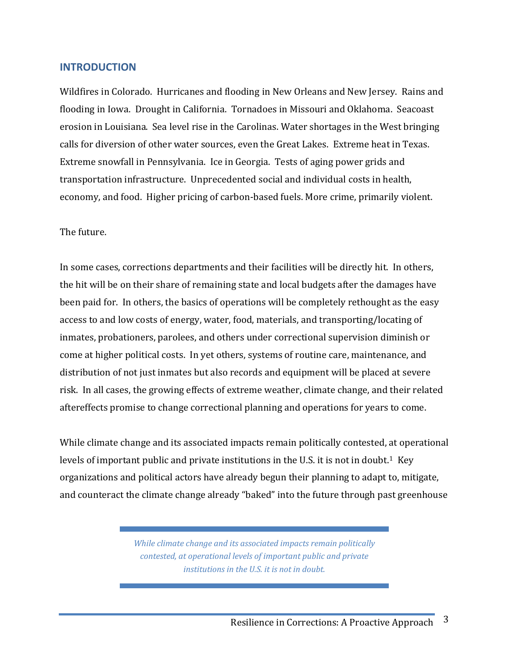#### <span id="page-4-0"></span>**INTRODUCTION**

Wildfires in Colorado. Hurricanes and flooding in New Orleans and New Jersey. Rains and flooding in Iowa. Drought in California. Tornadoes in Missouri and Oklahoma. Seacoast erosion in Louisiana. Sea level rise in the Carolinas. Water shortages in the West bringing calls for diversion of other water sources, even the Great Lakes. Extreme heat in Texas. Extreme snowfall in Pennsylvania. Ice in Georgia. Tests of aging power grids and transportation infrastructure. Unprecedented social and individual costs in health, economy, and food. Higher pricing of carbon-based fuels. More crime, primarily violent.

#### The future.

In some cases, corrections departments and their facilities will be directly hit. In others, the hit will be on their share of remaining state and local budgets after the damages have been paid for. In others, the basics of operations will be completely rethought as the easy access to and low costs of energy, water, food, materials, and transporting/locating of inmates, probationers, parolees, and others under correctional supervision diminish or come at higher political costs. In yet others, systems of routine care, maintenance, and distribution of not just inmates but also records and equipment will be placed at severe risk. In all cases, the growing effects of extreme weather, climate change, and their related aftereffects promise to change correctional planning and operations for years to come.

While climate change and its associated impacts remain politically contested, at operational levels of important public and private institutions in the U.S. it is not in doubt.<sup>[1](#page-16-1)</sup> Key organizations and political actors have already begun their planning to adapt to, mitigate, and counteract the climate change already "baked" into the future through past greenhouse

> *While climate change and its associated impacts remain politically contested, at operational levels of important public and private institutions in the U.S. it is not in doubt.*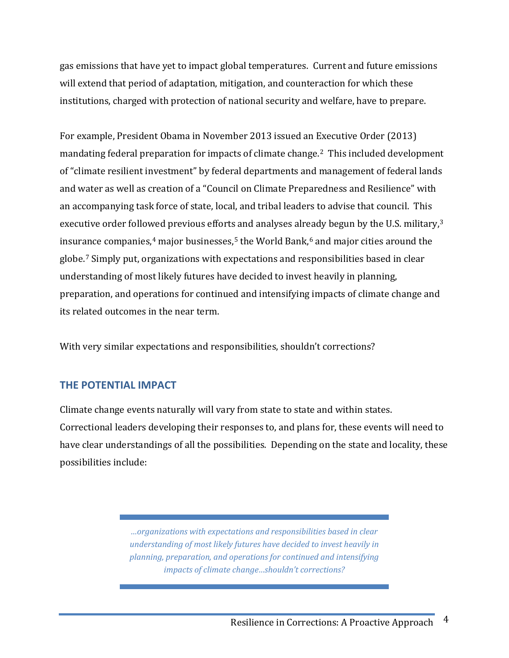gas emissions that have yet to impact global temperatures. Current and future emissions will extend that period of adaptation, mitigation, and counteraction for which these institutions, charged with protection of national security and welfare, have to prepare.

For example, President Obama in November 2013 issued an Executive Order (2013) mandating federal preparation for impacts of climate change.<sup>2</sup> This included development of "climate resilient investment" by federal departments and management of federal lands and water as well as creation of a "Council on Climate Preparedness and Resilience" with an accompanying task force of state, local, and tribal leaders to advise that council. This executive order follo[we](#page-16-4)d previous efforts and analyses alr[ea](#page-16-6)dy begun by the U.S. military,<sup>[3](#page-16-3)</sup> insurance companies, $4$  major businesses, $5$  the World Bank, $6$  and major cities around the globe.[7](#page-16-7) Simply put, organizations with expectations and responsibilities based in clear understanding of most likely futures have decided to invest heavily in planning, preparation, and operations for continued and intensifying impacts of climate change and its related outcomes in the near term.

<span id="page-5-0"></span>With very similar expectations and responsibilities, shouldn't corrections?

# **THE POTENTIAL IMPACT**

Climate change events naturally will vary from state to state and within states. Correctional leaders developing their responses to, and plans for, these events will need to have clear understandings of all the possibilities. Depending on the state and locality, these possibilities include:

> *…organizations with expectations and responsibilities based in clear understanding of most likely futures have decided to invest heavily in planning, preparation, and operations for continued and intensifying impacts of climate change…shouldn't corrections?*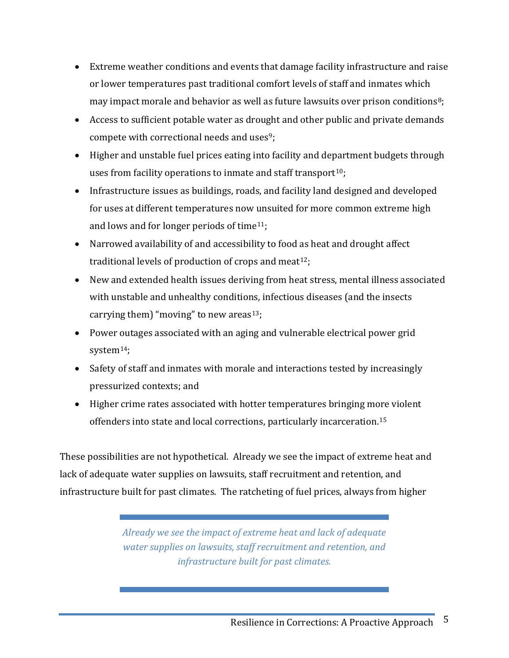- Extreme weather conditions and events that damage facility infrastructure and raise or lower temperatures past traditional comfort levels of staff and inmates which may impact morale and behavior as well as future lawsuits over prison conditions<sup>[8](#page-16-8)</sup>;
- Access to sufficient potable water as drought and other public and private demands compete with correctional needs and uses<sup>[9](#page-17-0)</sup>;
- Higher and unstable fuel prices eating into facility and department budgets through uses from facility operations to inmate and staff transport<sup>[10](#page-17-1)</sup>;
- Infrastructure issues as buildings, roads, and facility land designed and developed for uses at different temperatures now unsuited for more common extreme high and lows and for longer periods of time<sup>11</sup>;
- Narrowed availability of and accessibility to food as heat and drought affect traditional levels of production of crops and meat<sup>[12](#page-17-3)</sup>;
- New and extended health issues deriving from heat stress, mental illness associated with unstable and unhealthy conditions, infectious diseases (and the insects carrying them) "moving" to new areas<sup>[13](#page-17-4)</sup>;
- Power outages associated with an aging and vulnerable electrical power grid system<sup>14</sup>;
- Safety of staff and inmates with morale and interactions tested by increasingly pressurized contexts; and
- Higher crime rates associated with hotter temperatures bringing more violent offenders into state and local corrections, particularly incarceration.[15](#page-18-1)

These possibilities are not hypothetical. Already we see the impact of extreme heat and lack of adequate water supplies on lawsuits, staff recruitment and retention, and infrastructure built for past climates. The ratcheting of fuel prices, always from higher

> *Already we see the impact of extreme heat and lack of adequate water supplies on lawsuits, staff recruitment and retention, and infrastructure built for past climates.*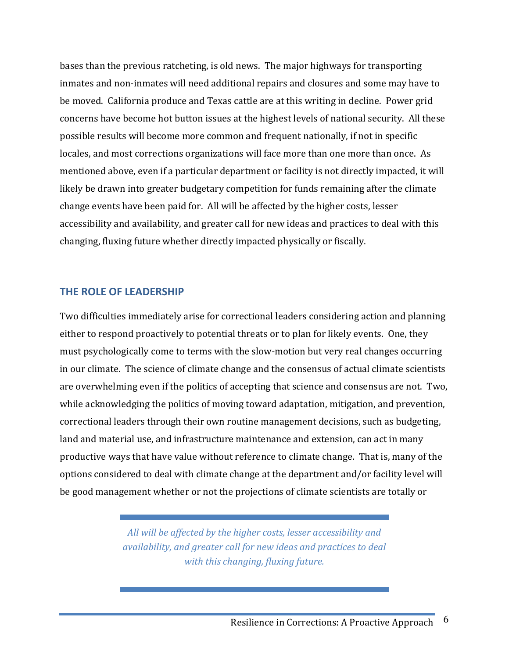bases than the previous ratcheting, is old news. The major highways for transporting inmates and non-inmates will need additional repairs and closures and some may have to be moved. California produce and Texas cattle are at this writing in decline. Power grid concerns have become hot button issues at the highest levels of national security. All these possible results will become more common and frequent nationally, if not in specific locales, and most corrections organizations will face more than one more than once. As mentioned above, even if a particular department or facility is not directly impacted, it will likely be drawn into greater budgetary competition for funds remaining after the climate change events have been paid for. All will be affected by the higher costs, lesser accessibility and availability, and greater call for new ideas and practices to deal with this changing, fluxing future whether directly impacted physically or fiscally.

#### <span id="page-7-0"></span>**THE ROLE OF LEADERSHIP**

Two difficulties immediately arise for correctional leaders considering action and planning either to respond proactively to potential threats or to plan for likely events. One, they must psychologically come to terms with the slow-motion but very real changes occurring in our climate. The science of climate change and the consensus of actual climate scientists are overwhelming even if the politics of accepting that science and consensus are not. Two, while acknowledging the politics of moving toward adaptation, mitigation, and prevention, correctional leaders through their own routine management decisions, such as budgeting, land and material use, and infrastructure maintenance and extension, can act in many productive ways that have value without reference to climate change. That is, many of the options considered to deal with climate change at the department and/or facility level will be good management whether or not the projections of climate scientists are totally or

> *All will be affected by the higher costs, lesser accessibility and availability, and greater call for new ideas and practices to deal with this changing, fluxing future.*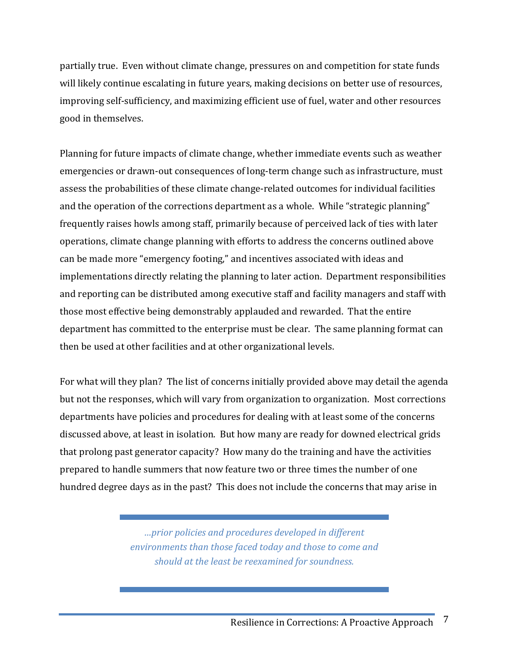partially true. Even without climate change, pressures on and competition for state funds will likely continue escalating in future years, making decisions on better use of resources, improving self-sufficiency, and maximizing efficient use of fuel, water and other resources good in themselves.

Planning for future impacts of climate change, whether immediate events such as weather emergencies or drawn-out consequences of long-term change such as infrastructure, must assess the probabilities of these climate change-related outcomes for individual facilities and the operation of the corrections department as a whole. While "strategic planning" frequently raises howls among staff, primarily because of perceived lack of ties with later operations, climate change planning with efforts to address the concerns outlined above can be made more "emergency footing," and incentives associated with ideas and implementations directly relating the planning to later action. Department responsibilities and reporting can be distributed among executive staff and facility managers and staff with those most effective being demonstrably applauded and rewarded. That the entire department has committed to the enterprise must be clear. The same planning format can then be used at other facilities and at other organizational levels.

For what will they plan? The list of concerns initially provided above may detail the agenda but not the responses, which will vary from organization to organization. Most corrections departments have policies and procedures for dealing with at least some of the concerns discussed above, at least in isolation. But how many are ready for downed electrical grids that prolong past generator capacity? How many do the training and have the activities prepared to handle summers that now feature two or three times the number of one hundred degree days as in the past? This does not include the concerns that may arise in

> *…prior policies and procedures developed in different environments than those faced today and those to come and should at the least be reexamined for soundness.*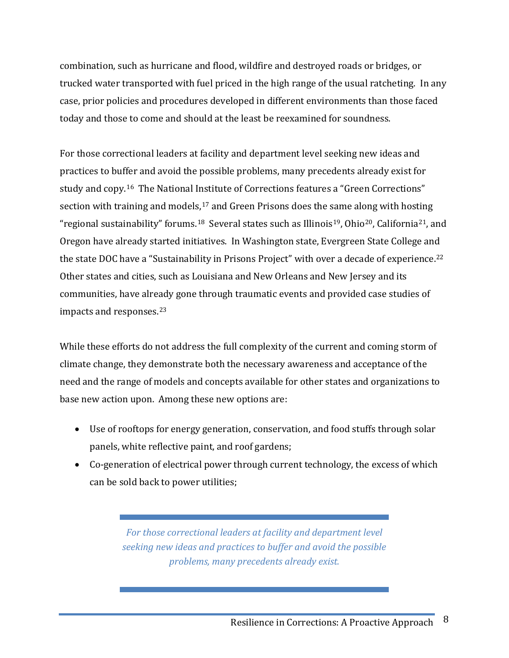combination, such as hurricane and flood, wildfire and destroyed roads or bridges, or trucked water transported with fuel priced in the high range of the usual ratcheting. In any case, prior policies and procedures developed in different environments than those faced today and those to come and should at the least be reexamined for soundness.

For those correctional leaders at facility and department level seeking new ideas and practices to buffer and avoid the possible problems, many precedents already exist for study and copy.<sup>[16](#page-18-2)</sup> The National Institute of Corrections features a "Green Corrections" section with training and models,<sup>[17](#page-18-3)</sup> and Green Prisons does the same along with hosting "regional sustainability" forums.<sup>[18](#page-18-4)</sup> Several states such as Illinois<sup>19</sup>, Ohio<sup>[20](#page-18-6)</sup>, California<sup>[21](#page-18-7)</sup>, and Oregon have already started initiatives. In Washington state, Evergreen State College and the state DOC have a "Sustainability in Prisons Project" with over a decade of experience.<sup>[22](#page-19-0)</sup> Other states and cities, such as Louisiana and New Orleans and New Jersey and its communities, have already gone through traumatic events and provided case studies of impacts and responses.[23](#page-19-1)

While these efforts do not address the full complexity of the current and coming storm of climate change, they demonstrate both the necessary awareness and acceptance of the need and the range of models and concepts available for other states and organizations to base new action upon. Among these new options are:

- Use of rooftops for energy generation, conservation, and food stuffs through solar panels, white reflective paint, and roof gardens;
- Co-generation of electrical power through current technology, the excess of which can be sold back to power utilities;

*For those correctional leaders at facility and department level seeking new ideas and practices to buffer and avoid the possible problems, many precedents already exist.*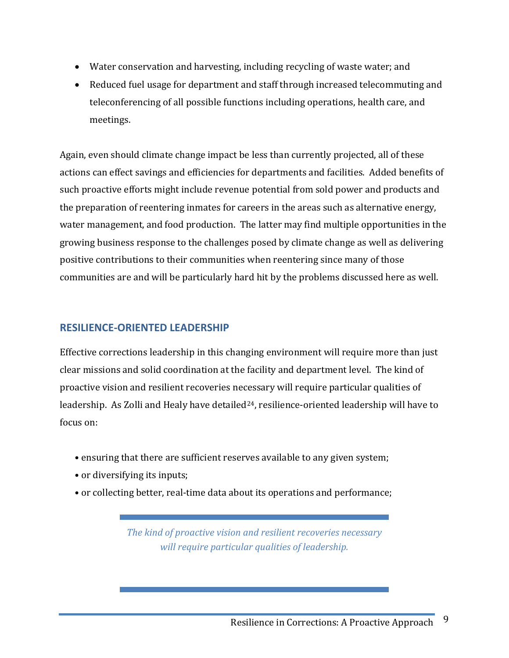- Water conservation and harvesting, including recycling of waste water; and
- Reduced fuel usage for department and staff through increased telecommuting and teleconferencing of all possible functions including operations, health care, and meetings.

Again, even should climate change impact be less than currently projected, all of these actions can effect savings and efficiencies for departments and facilities. Added benefits of such proactive efforts might include revenue potential from sold power and products and the preparation of reentering inmates for careers in the areas such as alternative energy, water management, and food production. The latter may find multiple opportunities in the growing business response to the challenges posed by climate change as well as delivering positive contributions to their communities when reentering since many of those communities are and will be particularly hard hit by the problems discussed here as well.

#### <span id="page-10-0"></span>**RESILIENCE-ORIENTED LEADERSHIP**

Effective corrections leadership in this changing environment will require more than just clear missions and solid coordination at the facility and department level. The kind of proactive vision and resilient recoveries necessary will require particular qualities of leadership. As Zolli and Healy have detailed<sup>[24](#page-19-2)</sup>, resilience-oriented leadership will have to focus on:

- ensuring that there are sufficient reserves available to any given system;
- or diversifying its inputs;
- or collecting better, real-time data about its operations and performance;

*The kind of proactive vision and resilient recoveries necessary will require particular qualities of leadership.*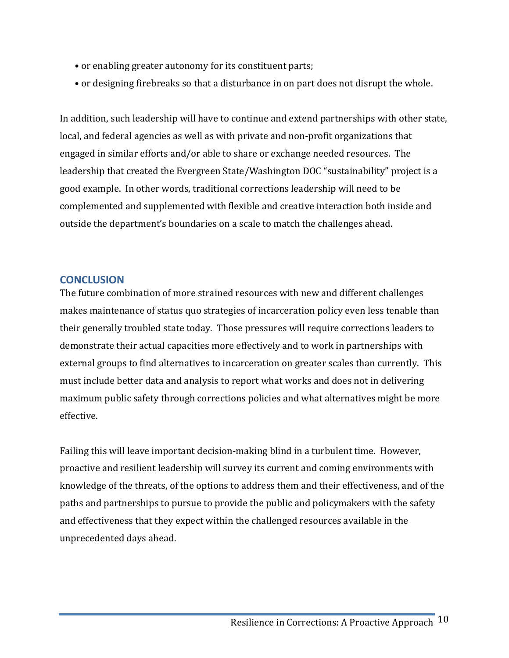- or enabling greater autonomy for its constituent parts;
- or designing firebreaks so that a disturbance in on part does not disrupt the whole.

In addition, such leadership will have to continue and extend partnerships with other state, local, and federal agencies as well as with private and non-profit organizations that engaged in similar efforts and/or able to share or exchange needed resources. The leadership that created the Evergreen State/Washington DOC "sustainability" project is a good example. In other words, traditional corrections leadership will need to be complemented and supplemented with flexible and creative interaction both inside and outside the department's boundaries on a scale to match the challenges ahead.

### <span id="page-11-0"></span>**CONCLUSION**

The future combination of more strained resources with new and different challenges makes maintenance of status quo strategies of incarceration policy even less tenable than their generally troubled state today. Those pressures will require corrections leaders to demonstrate their actual capacities more effectively and to work in partnerships with external groups to find alternatives to incarceration on greater scales than currently. This must include better data and analysis to report what works and does not in delivering maximum public safety through corrections policies and what alternatives might be more effective.

Failing this will leave important decision-making blind in a turbulent time. However, proactive and resilient leadership will survey its current and coming environments with knowledge of the threats, of the options to address them and their effectiveness, and of the paths and partnerships to pursue to provide the public and policymakers with the safety and effectiveness that they expect within the challenged resources available in the unprecedented days ahead.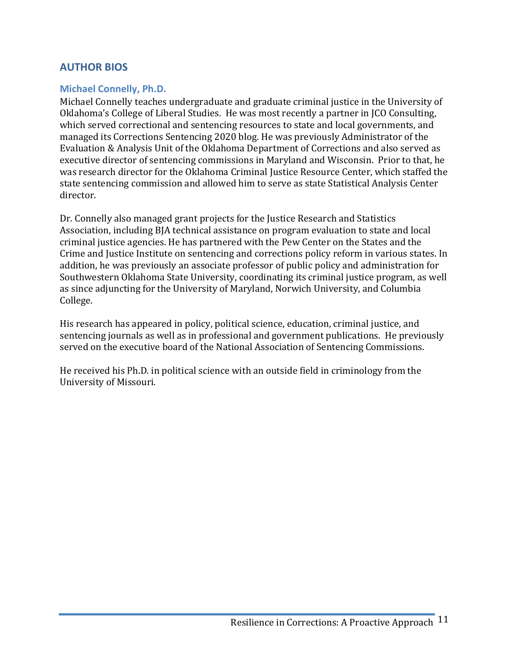# <span id="page-12-0"></span>**AUTHOR BIOS**

### <span id="page-12-1"></span>**Michael Connelly, Ph.D.**

Michael Connelly teaches undergraduate and graduate criminal justice in the University of Oklahoma's College of Liberal Studies. He was most recently a partner in JCO Consulting, which served correctional and sentencing resources to state and local governments, and managed its Corrections Sentencing 2020 blog. He was previously Administrator of the Evaluation & Analysis Unit of the Oklahoma Department of Corrections and also served as executive director of sentencing commissions in Maryland and Wisconsin. Prior to that, he was research director for the Oklahoma Criminal Justice Resource Center, which staffed the state sentencing commission and allowed him to serve as state Statistical Analysis Center director.

Dr. Connelly also managed grant projects for the Justice Research and Statistics Association, including BJA technical assistance on program evaluation to state and local criminal justice agencies. He has partnered with the Pew Center on the States and the Crime and Justice Institute on sentencing and corrections policy reform in various states. In addition, he was previously an associate professor of public policy and administration for Southwestern Oklahoma State University, coordinating its criminal justice program, as well as since adjuncting for the University of Maryland, Norwich University, and Columbia College.

His research has appeared in policy, political science, education, criminal justice, and sentencing journals as well as in professional and government publications. He previously served on the executive board of the National Association of Sentencing Commissions.

He received his Ph.D. in political science with an outside field in criminology from the University of Missouri.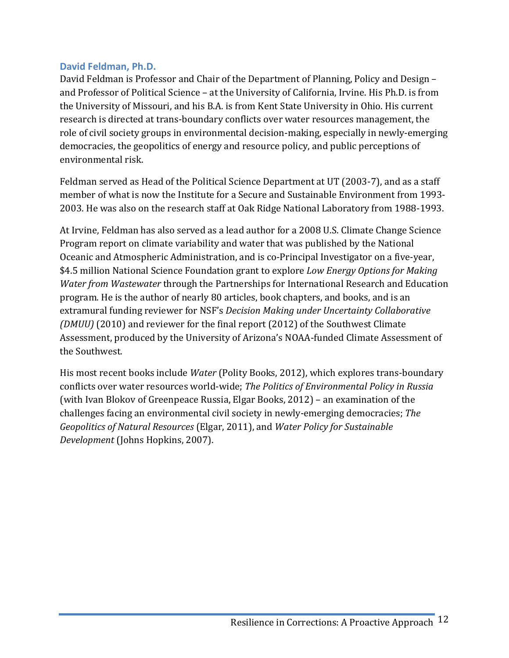### <span id="page-13-0"></span>**David Feldman, Ph.D.**

David Feldman is Professor and Chair of the Department of Planning, Policy and Design – and Professor of Political Science – at the University of California, Irvine. His Ph.D. is from the University of Missouri, and his B.A. is from Kent State University in Ohio. His current research is directed at trans-boundary conflicts over water resources management, the role of civil society groups in environmental decision-making, especially in newly-emerging democracies, the geopolitics of energy and resource policy, and public perceptions of environmental risk.

Feldman served as Head of the Political Science Department at UT (2003-7), and as a staff member of what is now the Institute for a Secure and Sustainable Environment from 1993- 2003. He was also on the research staff at Oak Ridge National Laboratory from 1988-1993.

At Irvine, Feldman has also served as a lead author for a 2008 U.S. Climate Change Science Program report on climate variability and water that was published by the National Oceanic and Atmospheric Administration, and is co-Principal Investigator on a five-year, \$4.5 million National Science Foundation grant to explore *Low Energy Options for Making Water from Wastewater* through the Partnerships for International Research and Education program. He is the author of nearly 80 articles, book chapters, and books, and is an extramural funding reviewer for NSF's *Decision Making under Uncertainty Collaborative (DMUU)* (2010) and reviewer for the final report (2012) of the Southwest Climate Assessment, produced by the University of Arizona's NOAA-funded Climate Assessment of the Southwest.

His most recent books include *Water* (Polity Books, 2012), which explores trans-boundary conflicts over water resources world-wide; *The Politics of Environmental Policy in Russia* (with Ivan Blokov of Greenpeace Russia, Elgar Books, 2012) – an examination of the challenges facing an environmental civil society in newly-emerging democracies; *The Geopolitics of Natural Resources* (Elgar, 2011), and *Water Policy for Sustainable Development* (Johns Hopkins, 2007).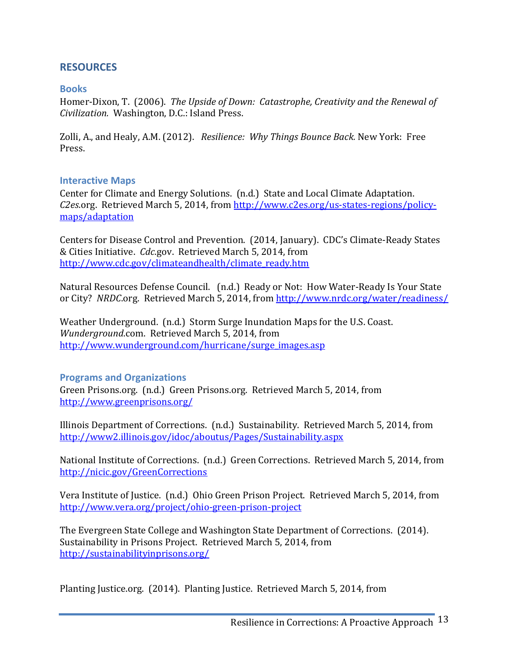## <span id="page-14-0"></span>**RESOURCES**

#### <span id="page-14-1"></span>**Books**

Homer-Dixon, T. (2006). *The Upside of Down: Catastrophe, Creativity and the Renewal of Civilization.* Washington, D.C.: Island Press.

Zolli, A., and Healy, A.M. (2012). *Resilience: Why Things Bounce Back.* New York: Free Press.

#### <span id="page-14-2"></span>**Interactive Maps**

Center for Climate and Energy Solutions. (n.d.) State and Local Climate Adaptation. *C2es*.org. Retrieved March 5, 2014, from [http://www.c2es.org/us-states-regions/policy](http://www.c2es.org/us-states-regions/policy-maps/adaptation)[maps/adaptation](http://www.c2es.org/us-states-regions/policy-maps/adaptation)

Centers for Disease Control and Prevention. (2014, January). CDC's Climate-Ready States & Cities Initiative. *Cdc*.gov. Retrieved March 5, 2014, from [http://www.cdc.gov/climateandhealth/climate\\_ready.htm](http://www.cdc.gov/climateandhealth/climate_ready.htm)

Natural Resources Defense Council. (n.d.) Ready or Not: How Water-Ready Is Your State or City? *NRDC*.org. Retrieved March 5, 2014, from<http://www.nrdc.org/water/readiness/>

Weather Underground. (n.d.) Storm Surge Inundation Maps for the U.S. Coast. *Wunderground*.com. Retrieved March 5, 2014, from [http://www.wunderground.com/hurricane/surge\\_images.asp](http://www.wunderground.com/hurricane/surge_images.asp)

#### <span id="page-14-3"></span>**Programs and Organizations**

Green Prisons.org. (n.d.) Green Prisons.org. Retrieved March 5, 2014, from <http://www.greenprisons.org/>

Illinois Department of Corrections. (n.d.) Sustainability. Retrieved March 5, 2014, from <http://www2.illinois.gov/idoc/aboutus/Pages/Sustainability.aspx>

National Institute of Corrections. (n.d.) Green Corrections. Retrieved March 5, 2014, from <http://nicic.gov/GreenCorrections>

Vera Institute of Justice. (n.d.) Ohio Green Prison Project. Retrieved March 5, 2014, from <http://www.vera.org/project/ohio-green-prison-project>

The Evergreen State College and Washington State Department of Corrections. (2014). Sustainability in Prisons Project. Retrieved March 5, 2014, from <http://sustainabilityinprisons.org/>

Planting Justice.org. (2014). Planting Justice. Retrieved March 5, 2014, from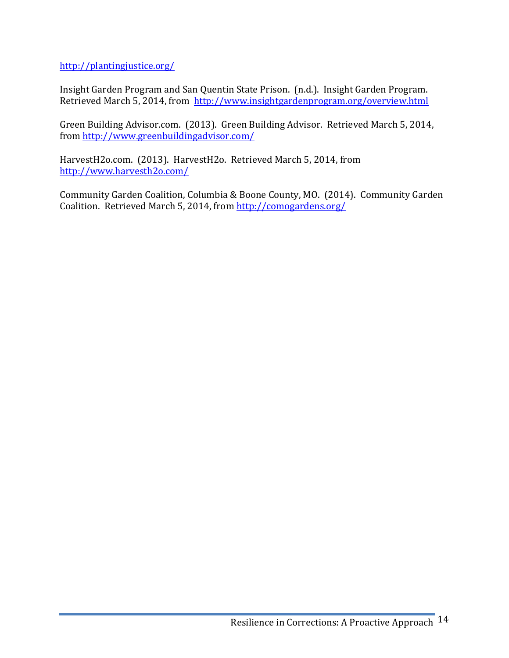<http://plantingjustice.org/>

Insight Garden Program and San Quentin State Prison. (n.d.). Insight Garden Program. Retrieved March 5, 2014, from <http://www.insightgardenprogram.org/overview.html>

Green Building Advisor.com. (2013). Green Building Advisor. Retrieved March 5, 2014, from<http://www.greenbuildingadvisor.com/>

HarvestH2o.com. (2013). HarvestH2o. Retrieved March 5, 2014, from <http://www.harvesth2o.com/>

Community Garden Coalition, Columbia & Boone County, MO. (2014). Community Garden Coalition. Retrieved March 5, 2014, fro[m http://comogardens.org/](http://comogardens.org/)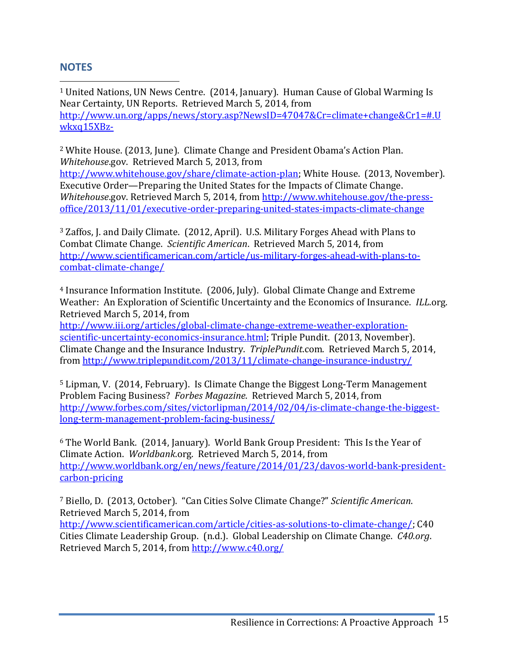## <span id="page-16-0"></span>**NOTES**

<span id="page-16-1"></span> 1 United Nations, UN News Centre. (2014, January). Human Cause of Global Warming Is Near Certainty, UN Reports. Retrieved March 5, 2014, from [http://www.un.org/apps/news/story.asp?NewsID=47047&Cr=climate+change&Cr1=#.U](http://www.un.org/apps/news/story.asp?NewsID=47047&Cr=climate+change&Cr1=#.Uwkxq15XBz-) [wkxq15XBz-](http://www.un.org/apps/news/story.asp?NewsID=47047&Cr=climate+change&Cr1=#.Uwkxq15XBz-)

<span id="page-16-2"></span><sup>2</sup> White House. (2013, June). Climate Change and President Obama's Action Plan. *Whitehouse*.gov. Retrieved March 5, 2013, from

[http://www.whitehouse.gov/share/climate-action-plan;](http://www.whitehouse.gov/share/climate-action-plan) White House. (2013, November). Executive Order—Preparing the United States for the Impacts of Climate Change. *Whitehouse*.gov. Retrieved March 5, 2014, from [http://www.whitehouse.gov/the-press](http://www.whitehouse.gov/the-press-office/2013/11/01/executive-order-preparing-united-states-impacts-climate-change)[office/2013/11/01/executive-order-preparing-united-states-impacts-climate-change](http://www.whitehouse.gov/the-press-office/2013/11/01/executive-order-preparing-united-states-impacts-climate-change)

<span id="page-16-3"></span><sup>3</sup> Zaffos, J. and Daily Climate. (2012, April). U.S. Military Forges Ahead with Plans to Combat Climate Change. *Scientific American*. Retrieved March 5, 2014, from [http://www.scientificamerican.com/article/us-military-forges-ahead-with-plans-to](http://www.scientificamerican.com/article/us-military-forges-ahead-with-plans-to-combat-climate-change/)[combat-climate-change/](http://www.scientificamerican.com/article/us-military-forges-ahead-with-plans-to-combat-climate-change/)

<span id="page-16-4"></span><sup>4</sup> Insurance Information Institute. (2006, July). Global Climate Change and Extreme Weather: An Exploration of Scientific Uncertainty and the Economics of Insurance. *ILL*.org. Retrieved March 5, 2014, from

[http://www.iii.org/articles/global-climate-change-extreme-weather-exploration](http://www.iii.org/articles/global-climate-change-extreme-weather-exploration-scientific-uncertainty-economics-insurance.html)[scientific-uncertainty-economics-insurance.html;](http://www.iii.org/articles/global-climate-change-extreme-weather-exploration-scientific-uncertainty-economics-insurance.html) Triple Pundit. (2013, November). Climate Change and the Insurance Industry. *TriplePundit*.com. Retrieved March 5, 2014, from<http://www.triplepundit.com/2013/11/climate-change-insurance-industry/>

<span id="page-16-5"></span><sup>5</sup> Lipman, V. (2014, February). Is Climate Change the Biggest Long-Term Management Problem Facing Business? *Forbes Magazine*. Retrieved March 5, 2014, from [http://www.forbes.com/sites/victorlipman/2014/02/04/is-climate-change-the-biggest](http://www.forbes.com/sites/victorlipman/2014/02/04/is-climate-change-the-biggest-long-term-management-problem-facing-business/)[long-term-management-problem-facing-business/](http://www.forbes.com/sites/victorlipman/2014/02/04/is-climate-change-the-biggest-long-term-management-problem-facing-business/)

<span id="page-16-6"></span><sup>6</sup> The World Bank. (2014, January). World Bank Group President: This Is the Year of Climate Action. *Worldbank*.org. Retrieved March 5, 2014, from [http://www.worldbank.org/en/news/feature/2014/01/23/davos-world-bank-president](http://www.worldbank.org/en/news/feature/2014/01/23/davos-world-bank-president-carbon-pricing)[carbon-pricing](http://www.worldbank.org/en/news/feature/2014/01/23/davos-world-bank-president-carbon-pricing)

<span id="page-16-7"></span><sup>7</sup> Biello, D. (2013, October). "Can Cities Solve Climate Change?" *Scientific American*. Retrieved March 5, 2014, from

<span id="page-16-8"></span>[http://www.scientificamerican.com/article/cities-as-solutions-to-climate-change/;](http://www.scientificamerican.com/article/cities-as-solutions-to-climate-change/) C40 Cities Climate Leadership Group. (n.d.). Global Leadership on Climate Change. *C40.org*. Retrieved March 5, 2014, from<http://www.c40.org/>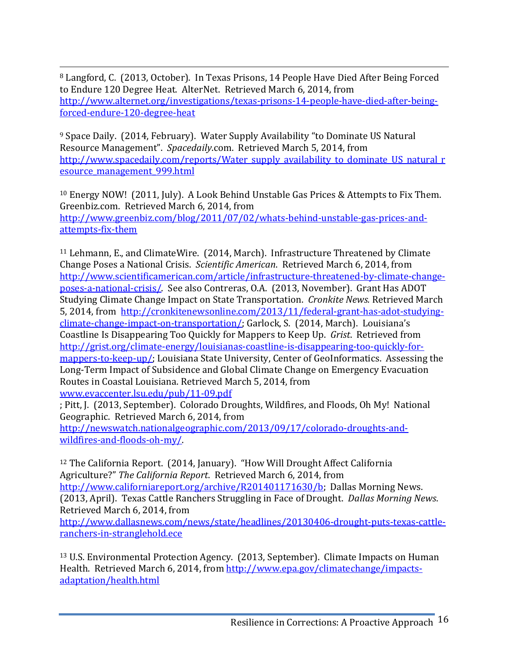8 Langford, C. (2013, October). In Texas Prisons, 14 People Have Died After Being Forced to Endure 120 Degree Heat. AlterNet. Retrieved March 6, 2014, from [http://www.alternet.org/investigations/texas-prisons-14-people-have-died-after-being](http://www.alternet.org/investigations/texas-prisons-14-people-have-died-after-being-forced-endure-120-degree-heat)[forced-endure-120-degree-heat](http://www.alternet.org/investigations/texas-prisons-14-people-have-died-after-being-forced-endure-120-degree-heat)

<span id="page-17-0"></span><sup>9</sup> Space Daily. (2014, February). Water Supply Availability "to Dominate US Natural Resource Management". *Spacedaily*.com. Retrieved March 5, 2014, from [http://www.spacedaily.com/reports/Water\\_supply\\_availability\\_to\\_dominate\\_US\\_natural\\_r](http://www.spacedaily.com/reports/Water_supply_availability_to_dominate_US_natural_resource_management_999.html) [esource\\_management\\_999.html](http://www.spacedaily.com/reports/Water_supply_availability_to_dominate_US_natural_resource_management_999.html)

<span id="page-17-1"></span><sup>10</sup> Energy NOW! (2011, July). A Look Behind Unstable Gas Prices & Attempts to Fix Them. Greenbiz.com. Retrieved March 6, 2014, from [http://www.greenbiz.com/blog/2011/07/02/whats-behind-unstable-gas-prices-and](http://www.greenbiz.com/blog/2011/07/02/whats-behind-unstable-gas-prices-and-attempts-fix-them)[attempts-fix-them](http://www.greenbiz.com/blog/2011/07/02/whats-behind-unstable-gas-prices-and-attempts-fix-them)

<span id="page-17-2"></span><sup>11</sup> Lehmann, E., and ClimateWire. (2014, March). Infrastructure Threatened by Climate Change Poses a National Crisis. *Scientific American*. Retrieved March 6, 2014, from [http://www.scientificamerican.com/article/infrastructure-threatened-by-climate-change](http://www.scientificamerican.com/article/infrastructure-threatened-by-climate-change-poses-a-national-crisis/)[poses-a-national-crisis/.](http://www.scientificamerican.com/article/infrastructure-threatened-by-climate-change-poses-a-national-crisis/) See also Contreras, O.A. (2013, November). Grant Has ADOT Studying Climate Change Impact on State Transportation. *Cronkite News.* Retrieved March 5, 2014, from [http://cronkitenewsonline.com/2013/11/federal-grant-has-adot-studying](http://cronkitenewsonline.com/2013/11/federal-grant-has-adot-studying-climate-change-impact-on-transportation/)[climate-change-impact-on-transportation/;](http://cronkitenewsonline.com/2013/11/federal-grant-has-adot-studying-climate-change-impact-on-transportation/) Garlock, S. (2014, March). Louisiana's Coastline Is Disappearing Too Quickly for Mappers to Keep Up. *Grist*. Retrieved from [http://grist.org/climate-energy/louisianas-coastline-is-disappearing-too-quickly-for](http://grist.org/climate-energy/louisianas-coastline-is-disappearing-too-quickly-for-mappers-to-keep-up/)[mappers-to-keep-up/;](http://grist.org/climate-energy/louisianas-coastline-is-disappearing-too-quickly-for-mappers-to-keep-up/) Louisiana State University, Center of GeoInformatics. Assessing the Long-Term Impact of Subsidence and Global Climate Change on Emergency Evacuation Routes in Coastal Louisiana. Retrieved March 5, 2014, from [www.evaccenter.lsu.edu/pub/11-09.pdf](http://www.evaccenter.lsu.edu/pub/11-09.pdf)

<span id="page-17-3"></span>; Pitt, J. (2013, September). Colorado Droughts, Wildfires, and Floods, Oh My! National Geographic. Retrieved March 6, 2014, from

[http://newswatch.nationalgeographic.com/2013/09/17/colorado-droughts-and](http://newswatch.nationalgeographic.com/2013/09/17/colorado-droughts-and-wildfires-and-floods-oh-my/)[wildfires-and-floods-oh-my/.](http://newswatch.nationalgeographic.com/2013/09/17/colorado-droughts-and-wildfires-and-floods-oh-my/)

<sup>12</sup> The California Report. (2014, January). "How Will Drought Affect California Agriculture?" *The California Report*. Retrieved March 6, 2014, from [http://www.californiareport.org/archive/R201401171630/b;](http://www.californiareport.org/archive/R201401171630/b) Dallas Morning News. (2013, April). Texas Cattle Ranchers Struggling in Face of Drought. *Dallas Morning News*. Retrieved March 6, 2014, from

[http://www.dallasnews.com/news/state/headlines/20130406-drought-puts-texas-cattle](http://www.dallasnews.com/news/state/headlines/20130406-drought-puts-texas-cattle-ranchers-in-stranglehold.ece)[ranchers-in-stranglehold.ece](http://www.dallasnews.com/news/state/headlines/20130406-drought-puts-texas-cattle-ranchers-in-stranglehold.ece)

<span id="page-17-4"></span><sup>13</sup> U.S. Environmental Protection Agency. (2013, September). Climate Impacts on Human Health. Retrieved March 6, 2014, from [http://www.epa.gov/climatechange/impacts](http://www.epa.gov/climatechange/impacts-adaptation/health.html)[adaptation/health.html](http://www.epa.gov/climatechange/impacts-adaptation/health.html)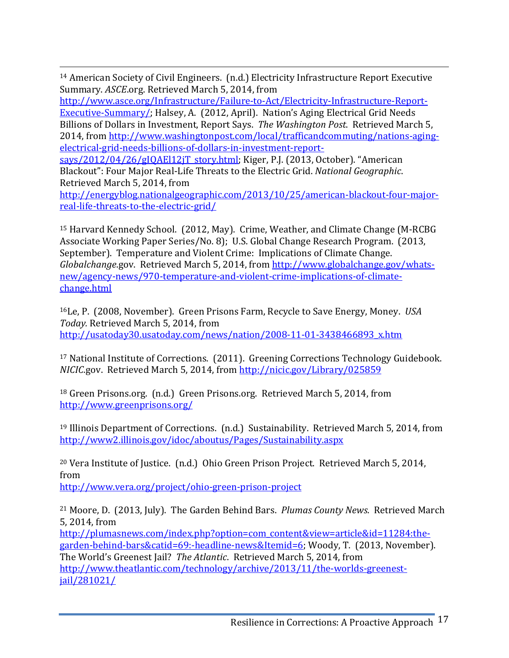<span id="page-18-0"></span> 14 American Society of Civil Engineers. (n.d.) Electricity Infrastructure Report Executive Summary. *ASCE*.org. Retrieved March 5, 2014, from

[http://www.asce.org/Infrastructure/Failure-to-Act/Electricity-Infrastructure-Report-](http://www.asce.org/Infrastructure/Failure-to-Act/Electricity-Infrastructure-Report-Executive-Summary/)[Executive-Summary/;](http://www.asce.org/Infrastructure/Failure-to-Act/Electricity-Infrastructure-Report-Executive-Summary/) Halsey, A. (2012, April). Nation's Aging Electrical Grid Needs Billions of Dollars in Investment, Report Says. *The Washington Post*. Retrieved March 5, 2014, from [http://www.washingtonpost.com/local/trafficandcommuting/nations-aging](http://www.washingtonpost.com/local/trafficandcommuting/nations-aging-electrical-grid-needs-billions-of-dollars-in-investment-report-says/2012/04/26/gIQAEl12jT_story.html)[electrical-grid-needs-billions-of-dollars-in-investment-report-](http://www.washingtonpost.com/local/trafficandcommuting/nations-aging-electrical-grid-needs-billions-of-dollars-in-investment-report-says/2012/04/26/gIQAEl12jT_story.html)

[says/2012/04/26/gIQAEl12jT\\_story.html;](http://www.washingtonpost.com/local/trafficandcommuting/nations-aging-electrical-grid-needs-billions-of-dollars-in-investment-report-says/2012/04/26/gIQAEl12jT_story.html) Kiger, P.J. (2013, October). "American Blackout": Four Major Real-Life Threats to the Electric Grid. *National Geographic*. Retrieved March 5, 2014, from

[http://energyblog.nationalgeographic.com/2013/10/25/american-blackout-four-major](http://energyblog.nationalgeographic.com/2013/10/25/american-blackout-four-major-real-life-threats-to-the-electric-grid/)[real-life-threats-to-the-electric-grid/](http://energyblog.nationalgeographic.com/2013/10/25/american-blackout-four-major-real-life-threats-to-the-electric-grid/)

<span id="page-18-1"></span><sup>15</sup> Harvard Kennedy School. (2012, May). Crime, Weather, and Climate Change (M-RCBG Associate Working Paper Series/No. 8); U.S. Global Change Research Program. (2013, September). Temperature and Violent Crime: Implications of Climate Change. *Globalchange*.gov. Retrieved March 5, 2014, from [http://www.globalchange.gov/whats](http://www.globalchange.gov/whats-new/agency-news/970-temperature-and-violent-crime-implications-of-climate-change.html)[new/agency-news/970-temperature-and-violent-crime-implications-of-climate](http://www.globalchange.gov/whats-new/agency-news/970-temperature-and-violent-crime-implications-of-climate-change.html)[change.html](http://www.globalchange.gov/whats-new/agency-news/970-temperature-and-violent-crime-implications-of-climate-change.html)

<span id="page-18-2"></span>16Le, P. (2008, November). Green Prisons Farm, Recycle to Save Energy, Money. *USA Today.* Retrieved March 5, 2014, from [http://usatoday30.usatoday.com/news/nation/2008-11-01-3438466893\\_x.htm](http://usatoday30.usatoday.com/news/nation/2008-11-01-3438466893_x.htm)

<span id="page-18-3"></span><sup>17</sup> National Institute of Corrections. (2011). Greening Corrections Technology Guidebook. *NICIC*.gov. Retrieved March 5, 2014, from<http://nicic.gov/Library/025859>

<span id="page-18-4"></span><sup>18</sup> Green Prisons.org. (n.d.) Green Prisons.org. Retrieved March 5, 2014, from <http://www.greenprisons.org/>

<span id="page-18-5"></span><sup>19</sup> Illinois Department of Corrections. (n.d.) Sustainability. Retrieved March 5, 2014, from <http://www2.illinois.gov/idoc/aboutus/Pages/Sustainability.aspx>

<span id="page-18-6"></span><sup>20</sup> Vera Institute of Justice. (n.d.) Ohio Green Prison Project. Retrieved March 5, 2014, from

<http://www.vera.org/project/ohio-green-prison-project>

<span id="page-18-7"></span><sup>21</sup> Moore, D. (2013, July). The Garden Behind Bars. *Plumas County News*. Retrieved March 5, 2014, from

[http://plumasnews.com/index.php?option=com\\_content&view=article&id=11284:the](http://plumasnews.com/index.php?option=com_content&view=article&id=11284:the-garden-behind-bars&catid=69:-headline-news&Itemid=6)[garden-behind-bars&catid=69:-headline-news&Itemid=6;](http://plumasnews.com/index.php?option=com_content&view=article&id=11284:the-garden-behind-bars&catid=69:-headline-news&Itemid=6) Woody, T. (2013, November). The World's Greenest Jail? *The Atlantic*. Retrieved March 5, 2014, from

[http://www.theatlantic.com/technology/archive/2013/11/the-worlds-greenest](http://www.theatlantic.com/technology/archive/2013/11/the-worlds-greenest-jail/281021/)[jail/281021/](http://www.theatlantic.com/technology/archive/2013/11/the-worlds-greenest-jail/281021/)